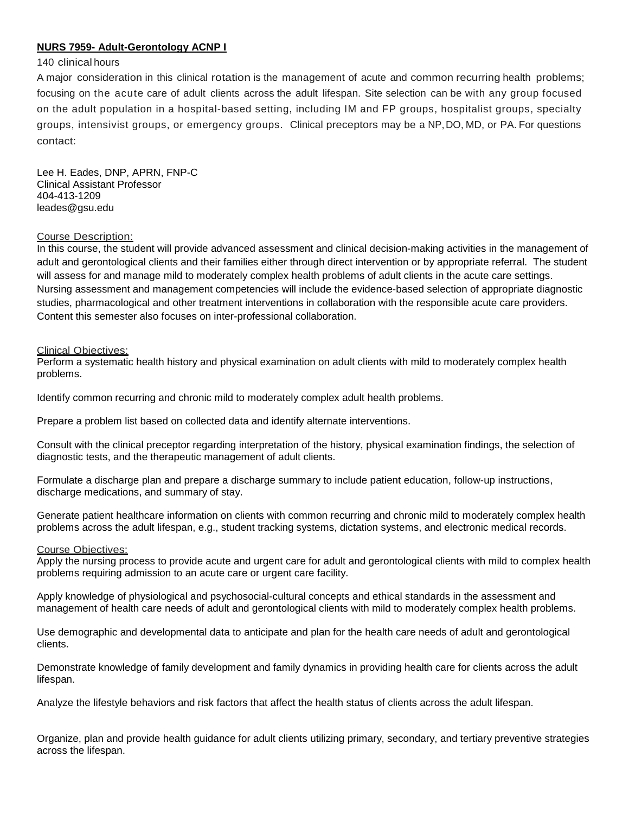# **NURS 7959- Adult-Gerontology ACNP I**

## 140 clinical hours

A major consideration in this clinical rotation is the management of acute and common recurring health problems; focusing on the acute care of adult clients across the adult lifespan. Site selection can be with any group focused on the adult population in a hospital-based setting, including IM and FP groups, hospitalist groups, specialty groups, intensivist groups, or emergency groups. Clinical preceptors may be a NP,DO, MD, or PA. For questions contact:

Lee H. Eades, DNP, APRN, FNP-C Clinical Assistant Professor 404-413-1209 leades@gsu.edu

## Course Description:

In this course, the student will provide advanced assessment and clinical decision-making activities in the management of adult and gerontological clients and their families either through direct intervention or by appropriate referral. The student will assess for and manage mild to moderately complex health problems of adult clients in the acute care settings. Nursing assessment and management competencies will include the evidence-based selection of appropriate diagnostic studies, pharmacological and other treatment interventions in collaboration with the responsible acute care providers. Content this semester also focuses on inter-professional collaboration.

## Clinical Objectives:

Perform a systematic health history and physical examination on adult clients with mild to moderately complex health problems.

Identify common recurring and chronic mild to moderately complex adult health problems.

Prepare a problem list based on collected data and identify alternate interventions.

Consult with the clinical preceptor regarding interpretation of the history, physical examination findings, the selection of diagnostic tests, and the therapeutic management of adult clients.

Formulate a discharge plan and prepare a discharge summary to include patient education, follow-up instructions, discharge medications, and summary of stay.

Generate patient healthcare information on clients with common recurring and chronic mild to moderately complex health problems across the adult lifespan, e.g., student tracking systems, dictation systems, and electronic medical records.

#### Course Objectives:

Apply the nursing process to provide acute and urgent care for adult and gerontological clients with mild to complex health problems requiring admission to an acute care or urgent care facility.

Apply knowledge of physiological and psychosocial-cultural concepts and ethical standards in the assessment and management of health care needs of adult and gerontological clients with mild to moderately complex health problems.

Use demographic and developmental data to anticipate and plan for the health care needs of adult and gerontological clients.

Demonstrate knowledge of family development and family dynamics in providing health care for clients across the adult lifespan.

Analyze the lifestyle behaviors and risk factors that affect the health status of clients across the adult lifespan.

Organize, plan and provide health guidance for adult clients utilizing primary, secondary, and tertiary preventive strategies across the lifespan.